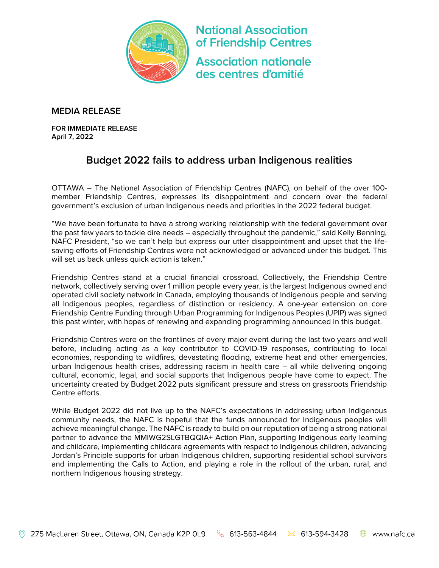

**National Association** of Friendship Centres **Association nationale** des centres d'amitié

## **MEDIA RELEASE**

**FOR IMMEDIATE RELEASE April 7, 2022**

## **Budget 2022 fails to address urban Indigenous realities**

OTTAWA – The National Association of Friendship Centres (NAFC), on behalf of the over 100 member Friendship Centres, expresses its disappointment and concern over the federal government's exclusion of urban Indigenous needs and priorities in the 2022 federal budget.

"We have been fortunate to have a strong working relationship with the federal government over the past few years to tackle dire needs – especially throughout the pandemic," said Kelly Benning, NAFC President, "so we can't help but express our utter disappointment and upset that the lifesaving efforts of Friendship Centres were not acknowledged or advanced under this budget. This will set us back unless quick action is taken."

Friendship Centres stand at a crucial financial crossroad. Collectively, the Friendship Centre network, collectively serving over 1 million people every year, is the largest Indigenous owned and operated civil society network in Canada, employing thousands of Indigenous people and serving all Indigenous peoples, regardless of distinction or residency. A one-year extension on core Friendship Centre Funding through Urban Programming for Indigenous Peoples (UPIP) was signed this past winter, with hopes of renewing and expanding programming announced in this budget.

Friendship Centres were on the frontlines of every major event during the last two years and well before, including acting as a key contributor to COVID-19 responses, contributing to local economies, responding to wildfires, devastating flooding, extreme heat and other emergencies, urban Indigenous health crises, addressing racism in health care – all while delivering ongoing cultural, economic, legal, and social supports that Indigenous people have come to expect. The uncertainty created by Budget 2022 puts significant pressure and stress on grassroots Friendship Centre efforts.

While Budget 2022 did not live up to the NAFC's expectations in addressing urban Indigenous community needs, the NAFC is hopeful that the funds announced for Indigenous peoples will achieve meaningful change. The NAFC is ready to build on our reputation of being a strong national partner to advance the MMIWG2SLGTBQQIA+ Action Plan, supporting Indigenous early learning and childcare, implementing childcare agreements with respect to Indigenous children, advancing Jordan's Principle supports for urban Indigenous children, supporting residential school survivors and implementing the Calls to Action, and playing a role in the rollout of the urban, rural, and northern Indigenous housing strategy.